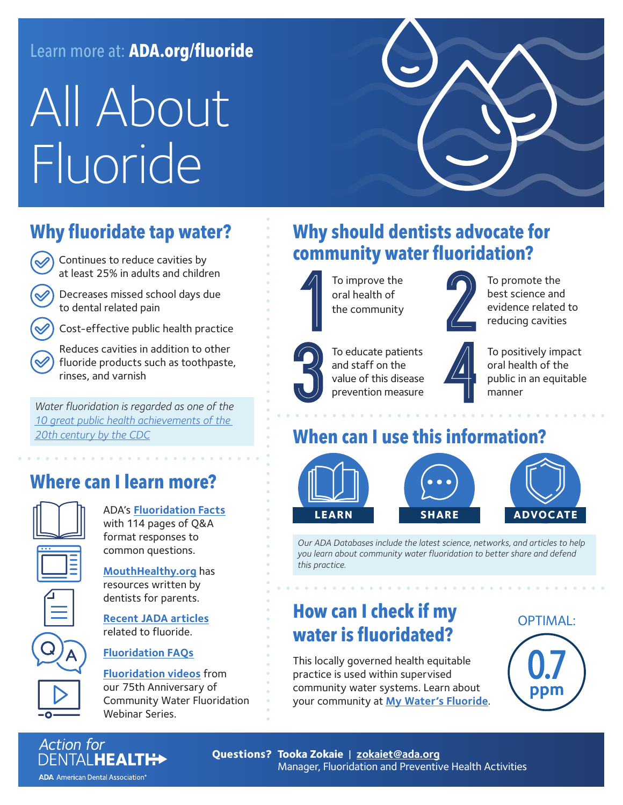#### Learn more at: **ADA.org/fluoride**

# All About Fluoride

# **Why fluoridate tap water?**

 Continues to reduce cavities by at least 25% in adults and children

 Decreases missed school days due to dental related pain

Cost-effective public health practice

 Reduces cavities in addition to other fluoride products such as toothpaste, rinses, and varnish

*Water fluoridation is regarded as one of the 10 great public health achievements of the 20th century by the CDC*

# **Where can I learn more?**



ADA's **Fluoridation Facts** with 114 pages of Q&A format responses to common questions.

| MouthHealthy.org has  |
|-----------------------|
| resources written by  |
| dentists for parents. |

**Recent JADA articles** related to fluoride.

#### **Fluoridation FAQs**

**Fluoridation videos** from our 75th Anniversary of Community Water Fluoridation Webinar Series.

# **Why should dentists advocate for community water fluoridation?**



and staff on the value of this disease prevention measure

To educate patients



 To promote the best science and evidence related to reducing cavities

 To positively impact oral health of the public in an equitable manner

#### **When can I use this information?**



*Our ADA Databases include the latest science, networks, and articles to help you learn about community water fluoridation to better share and defend this practice.*

### **How can I check if my water is fluoridated?**

This locally governed health equitable practice is used within supervised community water systems. Learn about your community at **My Water's Fluoride**. OPTIMAL: